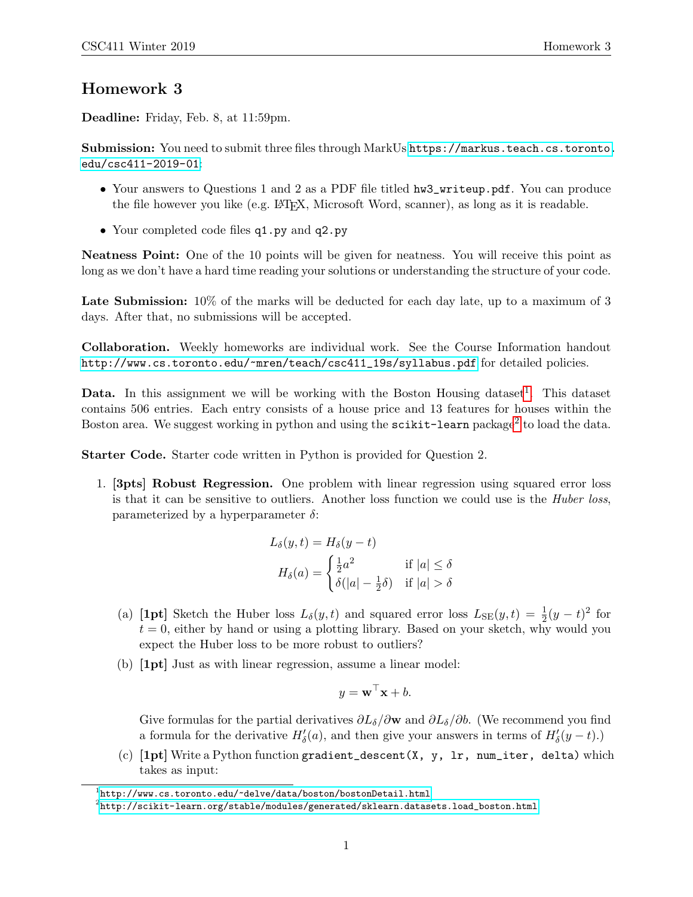## Homework 3

Deadline: Friday, Feb. 8, at 11:59pm.

Submission: You need to submit three files through MarkUs [https://markus.teach.cs.toronto.](https://markus.teach.cs.toronto.edu/csc411-2019-01) [edu/csc411-2019-01](https://markus.teach.cs.toronto.edu/csc411-2019-01):

- Your answers to Questions 1 and 2 as a PDF file titled hw3\_writeup.pdf. You can produce the file however you like (e.g. LATEX, Microsoft Word, scanner), as long as it is readable.
- Your completed code files  $q1.py$  and  $q2.py$

Neatness Point: One of the 10 points will be given for neatness. You will receive this point as long as we don't have a hard time reading your solutions or understanding the structure of your code.

Late Submission:  $10\%$  of the marks will be deducted for each day late, up to a maximum of 3 days. After that, no submissions will be accepted.

Collaboration. Weekly homeworks are individual work. See the Course Information handout [http://www.cs.toronto.edu/~mren/teach/csc411\\_19s/syllabus.pdf](http://www.cs.toronto.edu/~mren/teach/csc411_19s/syllabus.pdf) for detailed policies.

**Data.** In this assignment we will be working with the Boston Housing dataset<sup>[1](#page-0-0)</sup>. This dataset contains 506 entries. Each entry consists of a house price and 13 features for houses within the Boston area. We suggest working in python and using the  $\texttt{scikit-learn}$  package $^2$  $^2$  to load the data.

Starter Code. Starter code written in Python is provided for Question 2.

1. [3pts] Robust Regression. One problem with linear regression using squared error loss is that it can be sensitive to outliers. Another loss function we could use is the *Huber loss*, parameterized by a hyperparameter  $\delta$ :

$$
L_{\delta}(y, t) = H_{\delta}(y - t)
$$
  
\n
$$
H_{\delta}(a) = \begin{cases} \frac{1}{2}a^{2} & \text{if } |a| \leq \delta \\ \delta(|a| - \frac{1}{2}\delta) & \text{if } |a| > \delta \end{cases}
$$

- (a) [1pt] Sketch the Huber loss  $L_{\delta}(y, t)$  and squared error loss  $L_{SE}(y, t) = \frac{1}{2}(y t)^2$  for  $t = 0$ , either by hand or using a plotting library. Based on your sketch, why would you expect the Huber loss to be more robust to outliers?
- (b) [1pt] Just as with linear regression, assume a linear model:

$$
y = \mathbf{w}^\top \mathbf{x} + b.
$$

Give formulas for the partial derivatives  $\partial L_\delta/\partial \mathbf{w}$  and  $\partial L_\delta/\partial b$ . (We recommend you find a formula for the derivative  $H'_{\delta}(a)$ , and then give your answers in terms of  $H'_{\delta}(y-t)$ .)

(c) [1pt] Write a Python function gradient\_descent(X, y, lr, num\_iter, delta) which takes as input:

<span id="page-0-0"></span> $\frac{1}{2}$ <http://www.cs.toronto.edu/~delve/data/boston/bostonDetail.html>

<span id="page-0-1"></span> $^2$ [http://scikit-learn.org/stable/modules/generated/sklearn.datasets.load\\_boston.html](http://scikit-learn.org/stable/modules/generated/sklearn.datasets.load_boston.html)